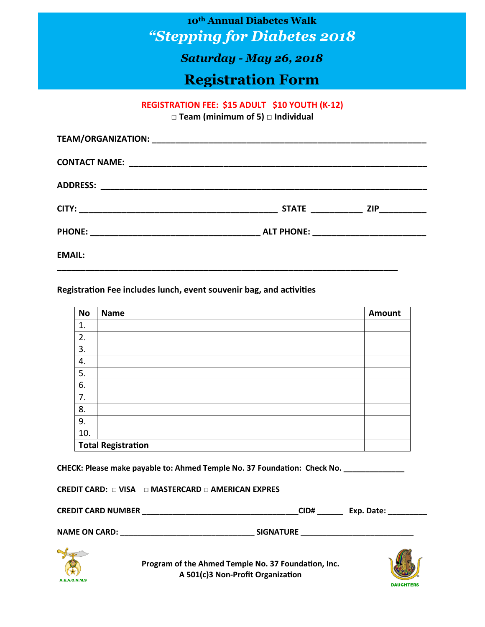**10th Annual Diabetes Walk** *"Stepping for Diabetes 2018*

**REGISTRATION FEE: ADULT WAKER \$15 - YOUTH WAKJER \$10** *Saturday - May 26, 2018*

# **Registration Form**

#### **REGISTRATION FEE: \$15 ADULT \$10 YOUTH (K-12)**

**□ Team (minimum of 5) □ Individual**

|               | STATE ________________ ZIP_____________   |
|---------------|-------------------------------------------|
|               | ALT PHONE: ______________________________ |
| <b>EMAIL:</b> |                                           |

#### **Registration Fee includes lunch, event souvenir bag, and activities**

| <b>No</b> | <b>Name</b>               | Amount |
|-----------|---------------------------|--------|
| 1.        |                           |        |
| 2.        |                           |        |
| 3.        |                           |        |
| 4.        |                           |        |
| 5.        |                           |        |
| 6.        |                           |        |
| 7.        |                           |        |
| 8.        |                           |        |
| 9.        |                           |        |
| 10.       |                           |        |
|           | <b>Total Registration</b> |        |

**CHECK: Please make payable to: Ahmed Temple No. 37 Foundation: Check No. \_\_\_\_\_\_\_\_\_\_\_\_\_\_**

|  | CREDIT CARD: $\Box$ VISA $\Box$ MASTERCARD $\Box$ AMERICAN EXPRES |
|--|-------------------------------------------------------------------|
|--|-------------------------------------------------------------------|

| <b>CREDIT CARD NUMBER</b><br>CID#<br>Exp. Date: |  |
|-------------------------------------------------|--|
| <b>NAME ON CARD:</b><br><b>SIGNATURE</b>        |  |



**Program of the Ahmed Temple No. 37 Foundation, Inc. A 501(c)3 Non-Profit Organization**